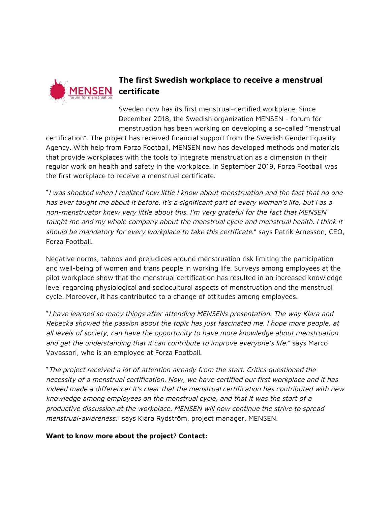

## **The first Swedish workplace to receive a menstrual**

Sweden now has its first menstrual-certified workplace. Since December 2018, the Swedish organization MENSEN - forum för menstruation has been working on developing a so-called "menstrual

certification". The project has received financial support from the Swedish Gender Equality Agency. With help from Forza Football, MENSEN now has developed methods and materials that provide workplaces with the tools to integrate menstruation as a dimension in their regular work on health and safety in the workplace. In September 2019, Forza Football was the first workplace to receive a menstrual certificate.

"<sup>I</sup> was shocked when <sup>I</sup> realized how little <sup>I</sup> know about menstruation and the fact that no one has ever taught me about it before. It's <sup>a</sup> significant part of every woman's life, but I as <sup>a</sup> non-menstruator knew very little about this. I'm very grateful for the fact that MENSEN taught me and my whole company about the menstrual cycle and menstrual health. I think it should be mandatory for every workplace to take this certificate." says Patrik Arnesson, CEO, Forza Football.

Negative norms, taboos and prejudices around menstruation risk limiting the participation and well-being of women and trans people in working life. Surveys among employees at the pilot workplace show that the menstrual certification has resulted in an increased knowledge level regarding physiological and sociocultural aspects of menstruation and the menstrual cycle. Moreover, it has contributed to a change of attitudes among employees.

"<sup>I</sup> have learned so many things after attending MENSENs presentation. The way Klara and Rebecka showed the passion about the topic has just fascinated me. I hope more people, at all levels of society, can have the opportunity to have more knowledge about menstruation and get the understanding that it can contribute to improve everyone's life." says Marco Vavassori, who is an employee at Forza Football.

"The project received <sup>a</sup> lot of attention already from the start. Critics questioned the necessity of <sup>a</sup> menstrual certification. Now, we have certified our first workplace and it has indeed made a difference! It's clear that the menstrual certification has contributed with new knowledge among employees on the menstrual cycle, and that it was the start of <sup>a</sup> productive discussion at the workplace. MENSEN will now continue the strive to spread menstrual-awareness." says Klara Rydström, project manager, MENSEN.

**Want to know more about the project? Contact:**